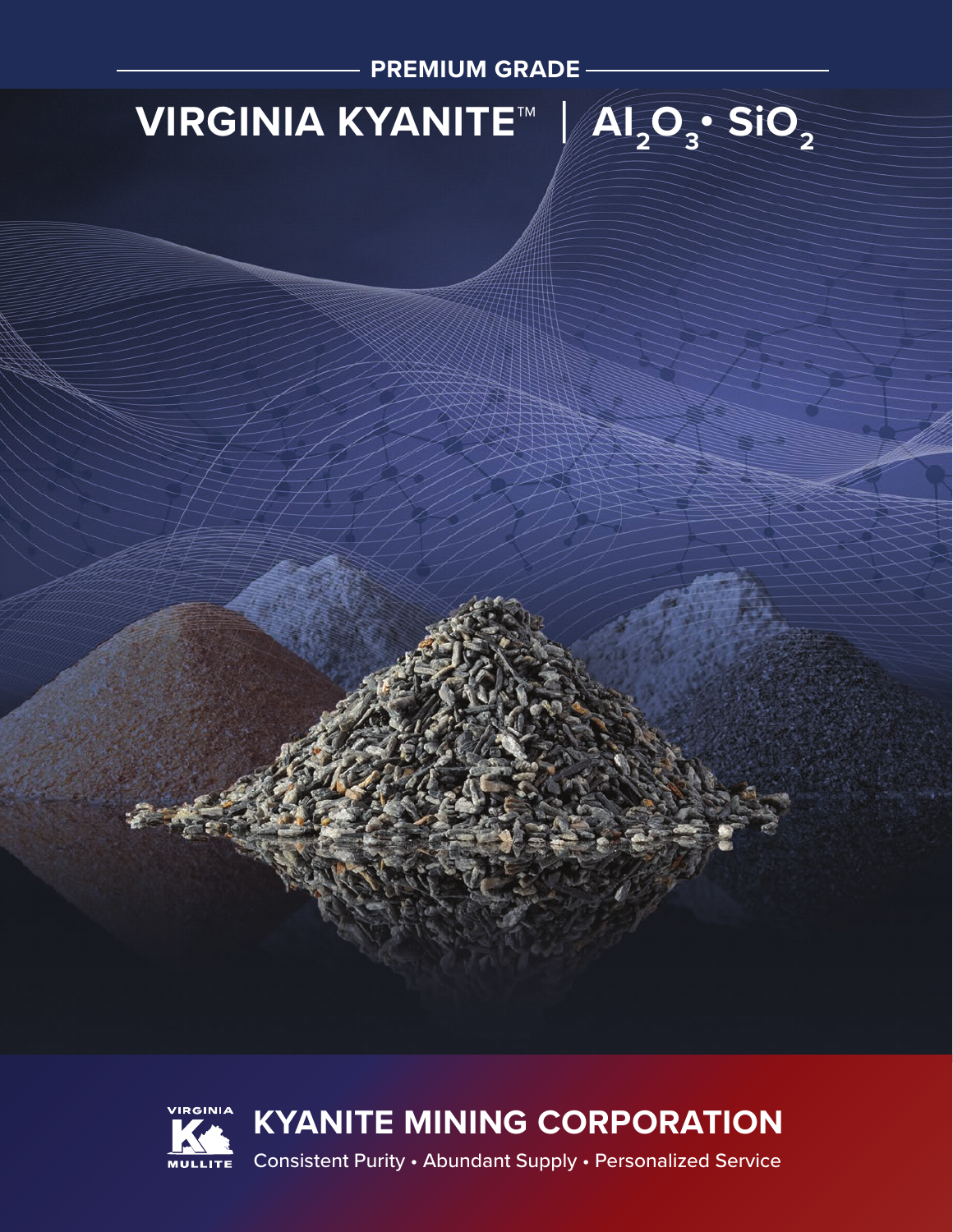